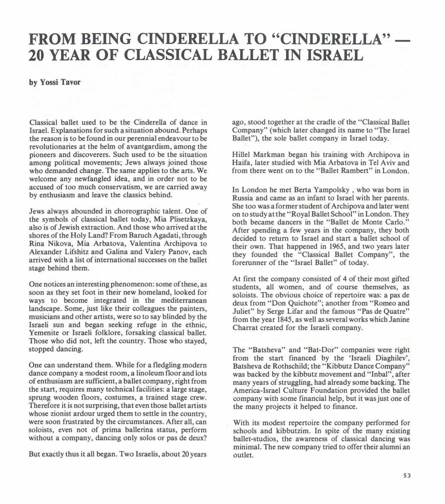## **FROM BEING CINDERELLA TO "CINDERELLA" 20 YEAR OF CLASSICAL BALLET IN ISRAEL**

## **by Yossi Tavor**

Classical ballet used to be the Cinderella of dance in Israel. Explanations for such a situation abound. Perhaps the reason is to be found in our perennial endea vour to be revolutionaries at the helm of avantgardism, among the pioneers and discoverers. Such used to be the situation among political movements; Jews always joined those who demanded change. The same applies to the arts. We welcome any newfangled idea, and in order not to be accused of too much conservatism, we are carried away by enthusiasm and leave the classics behind.

Jews always abounded in choreographic talent. One of the symbols of classical ballet today, Mia Plisetzkaya, also is of Jewish extraction. And those who arrived at the shores of the Holy Land? From Baruch Agadati, through Rina Nikova, Mia Arbatova, Valentina Archipova to Alexander Lifshitz and Galina and Valery Panov, each arrived with a list of international successes on the ballet stage behind them.

One notices an interesting phenomenon: some of these, as soon as they set foot in their new homeland, looked for ways to become integrated in the mediterranean landscape. Some, just like their colleagues the painters, musicians and other artists, were so to say blinded by the Israeli sun and began seeking refuge in the ethnic, Yemenite or Israeli folklore, forsaking classical ballet. Those who did not, left the country. Those who stayed, stopped dancing.

One can understand them. While for a fledgling modern dance company a modest room, a linoleum floor and lots of enthusiasm are sufficient, a ballet company, right from the start, requires many technical facilities: a large stage, sprung wooden floors, costumes, a trained stage crew. Therefore it is not surprising, that even those ballet artists whose zionist ardour urged them to settle in the country, were soon frustrated by the circumstances. After all, can soloists, even not of prima ballerina status, perform without a company, dancing only solos or pas de deux?

But exactly thus it all began. Two Israelis, about 20 years

ago, stood together at the cradle of the "Classical Ballet" Company" (which later changed its name to "The Israel Ballet"), the sole ballet company in Israel today.

Hillel Markman began his training with Archipova in Haifa, later studied with Mia Arbatova in Tel Aviv and from there went on to the "Ballet Rambert" in London.

In London he met Berta Yampolsky , who was bom in Russia and came as an infant to Israel with her parents . She too was a former student of Archipova and later went on to study at the "Royal Ballet School" in London. They both became dancers in the "Ballet de Monte Carlo." After spending a few years in the company, they both decided to return to Israel and start a ballet school of their own. That happened in 1965, and two years later they founded the "Classical Ballet Company", the forerunner of the "Israel Ballet" of today.

At first the company consisted of 4 of their most gifted students, all women, and of course themselves, as soloists. The obvious choice of repertoire was: a pas de deux from "Don Quichote"; another from "Romeo and Juliet" by Serge Lifar and the famous "Pas de Quatre" from the year 1845, as well as several works which Janine Charrat created for the Israeli company.

The "Batsheva" and "Bat-Dor" companies were right from the start financed by the 'Israeli Diaghilev', Batsheva de Rothschild; the "Kibbutz Dance Company" was backed by the kibbutz movement and "Inbal", after many years of struggling, had already some backing. The America-Israel Culture Foundation provided the ballet company with some financial help, but it was just one of the many projects it helped to finance.

With its modest repertoire the company performed for schools and kibbutzim. In spite of the many existing ballet-studios, the awareness of classical dancing was minimal. The new company tried to offer their alumni an outlet.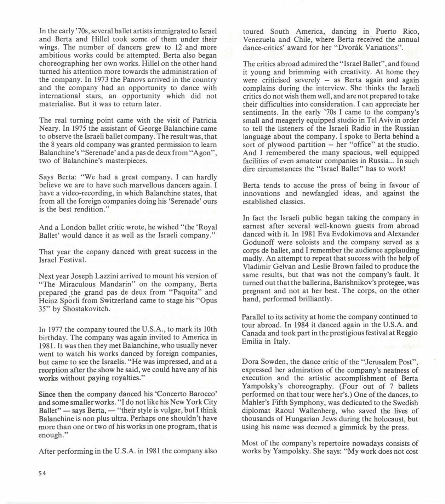In the early '70s, several ballet artists immigrated to Israel and Berta and Hillel took some of them under their wings. The number of dancers grew to 12 and more ambitious works could be attempted. Berta also began choreographing her own works. Hillel on the other hand turned his attention more towards the administration of the company. In 1973 the Panovs arrived in the country and the company had an opportunity to dance with intemational stars, an opportunity which did not materialise. But it was to retum later.

The real tuming point came with the visit of Patricia Neary. In 1975 the assistant of George Balanchine came to observe the Israeli ballet company. The result was, that the 8 years old company was granted permission to learn Balanchine's "Serenade' and a pas de deux from "Agon", two of Balanchine's masterpieces.

Says Berta: "We had a great company. 1 can hardly believe we are to have such marvellous dancers again. 1 have a video-recording, in which Balanchine states, that from all the foreign companies doing his 'Serenade' ours is the best rendition."

And a London ballet critic wrote, he wished "the 'Royal Ballet' would dance it as well as the Israeli company."

That year the copany danced with great success in the Israel Festival.

Next year Joseph Lazzini arrived to mount his version of "The Miraculous Mandarin" on the company, Berta prepared the grand pas de deux from "Paquita" and Heinz Sporli from Switzerland came to stage his "Opus 35" by Shostakovitch.

In 1977 the company toured the U.S.A., to mark its 10th birthday. The company was again invited to America in 1981 . It was then they met Balanchine, who usually never went to watch his works danced by foreign companies, but came to see the Israelis. "He was impressed, and at a reception after the show he said, we could have any of his works without paying royalties."

Since then the company danced his 'Concerto Barocco' and some smallerworks. "1 do not like his New York City Ballet"  $-$  says Berta,  $-$  "their style is vulgar, but I think Balanchine is non plus ultra. Perhaps one shouldn't have more than one or two of his works in one program, that is enough. "

After performing in the U.S.A. in 1981 the company also

toured South America, dancing in Puerto Rico, Venezuela and Chile, where Berta received the annual dance-critics' award for her "Dvorák Variations".

The critics abroad admired the " Israel Ballet", and found it young and brimming with creativity. At home they were criticised severely  $-$  as Berta again and again complains during the interview. She thinks the Israeli critics do not wish them well, and are not prepared to take their difficulties into consideration. 1 can appreciate her sentiments. In the early '70s 1 came to the company's small and meagerly equipped studio in Tel Aviv in order to tell the listeners of the Israeli Radio in the Russian language about the company. 1 spoke to Berta behind a sort of plywood partition -- her "office" at the studio. And I remembered the many spacious, well equipped facilities of even amateur companies in Russia... In such dire circumstances the "Israel Ballet" has to work!

Berta tends to accuse the press of being in favour of innovations and newfangled ideas, and against the established classics.

In fact the Israeli public began taking the company in eamest after several well-known guests from abroad danced with it. In 1981 Eva Evdokimova and Alexander Godunoff were soloists and the company served as a corps de ballet, and 1 remember the audience applauding madly. An attempt to repeat that success with the help of Vladimir Gelvan and Leslie Brown failed to produce the same results, but that was not the company's fault. It turned out that the ballerina, Barishnikov's protegee, was pregnant and not at her best. The corps, on the other hand, performed brilliantly.

Parallel to its activity at home the company continued to tour abroad. In 1984 it danced again in the U.S.A. and Canada and took part in the prestigious festival at Reggio Emilia in Italy.

Dora Sowden, the dance critic of the "Jerusalem Post", expressed her admiration of the company's neatness of execution and the artistic accomplishment of Berta Yampolsky's choreography. (Four out of 7 ballets performed on that tour were her's.) One of the dances, to Mahler's Fifth Symphony, was dedicated to the Swedish diplomat Raoul Wallenberg, who saved the lives of thousands of Hungarian Jews during the holocaust, but using his name was deemed a gimmick by the press.

Most of the company's repertoire nowadays consists of works by Yampolsky. She says: "My work does not cost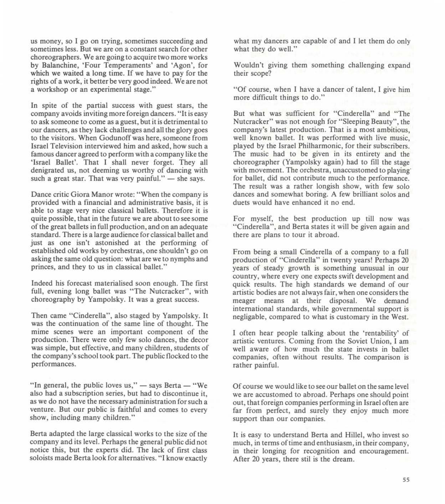us money, so 1 go on trying, sometimes succeeding and sometimes less. But we are on a constant search for other choreographers. We are going to acquire two more works by Balanchine, 'Four Temperaments' and 'Agon', for which we waited a long time. If we have to pay for the rights of a work, it better be very good indeed. We are not a workshop or an experimental stage."

In spite of the partial success with guest stars, the company avoids inviting more foreign dancers. "It is easy to ask someone to come as a guest, but it is detrimental to our dancers, as they 1ack cha11enges and a11 the glory goes to the visitors. When Godunoff was here, someone from Israe1 Te1evision interviewed him and asked, how such a famous dancer agreed to perform with a company like the 'Israel Ballet'. That I shall never forget. They all denigrated us, not deeming us worthy of dancing with such a great star. That was very painful."  $-$  she says.

Dance critic Giora Manor wrote: "When the company is provided with a financia1 and administrative basis, it is able to stage very nice classical ballets. Therefore it is quite possible, that in the future we are about to see some of the great ba11ets in fu11 production, and on an adequate standard. There is a large audience for classical ballet and just as one isn't astonished at the performing of established old works by orchestras, one shouldn't go on asking the same old question: what are we to nymphs and princes, and they to us in classical ballet."

Indeed his forecast materia1ised soon enough. The first full, evening long ballet was "The Nutcracker", with choreography by Yampolsky. It was a great success.

Then came "Cinderella", also staged by Yampolsky. It was the continuation of the same line of thought. The mime scenes were an important component of the production. There were only few solo dances, the decor was simple, but effective, and many children, students of the company's school took part. The public flocked to the performances.

"In general, the public loves us,"  $-$  says Berta  $-$  "We also had a subscription series, but had to discontinue it, as we do not have the necessary administration for such a venture. But our public is faithful and comes to every show, including many children."

Berta adapted the large classical works to the size of the company and its level. Perhaps the general public did not notice this, but the experts did. The lack of first class soloists made Berta look for alternatives. "I know exactly

what my dancers are capable of and I let them do only what they do well."

Wouldn't giving them something challenging expand their scope?

"Of course, when I have a dancer of talent, I give him more difficult things to do."

But what was sufficient for "Cindere11a" and "The Nutcracker" was not enough for "Sleeping Beauty", the company's 1atest production. That is a most ambitious, well known ballet. It was performed with live music, played by the Israel Philharmonic, for their subscribers. The music had to be given in its entirety and the choreographer (Yampolsky again) had to fill the stage with movement. The orchestra, unaccustomed to playing: for ballet, did not contribute much to the performance. The result was a rather longish show, with few solo dances and somewhat boring. A few brilliant solos and duets wou1d have enhanced it no end.

For myself, the best production up till now was "Cinderella", and Berta states it will be given again and there are plans to tour it abroad.

From being a small Cinderella of a company to a full production of "Cinderella" in twenty years! Perhaps 20 years of steady growth is something unusual in our country, where every one expects swift development and quick results. The high standards we demand of our artistic bodies are not a1ways fair, when one considers the meager means at their disposa1. We demand international standards, while governmental support is negligable, compared to what is customary in the West.

I often hear people talking about the 'rentability' of artistic ventures. Coming from the Soviet Union, 1 am well aware of how much the state invests in ballet companies, often without results. The comparison is rather painfu1.

Of course we would like to see our ballet on the same level we are accustomed to abroad. Perhaps one should point out, that foreign companies performing in Israel often are far from perfect, and surely they enjoy much more support than our companies.

It is easy to understand Berta and Hillel, who invest so much, in terms of time and enthusiasm, in their company, in their longing for recognition and encouragement. After 20 years, there stil is the dream.